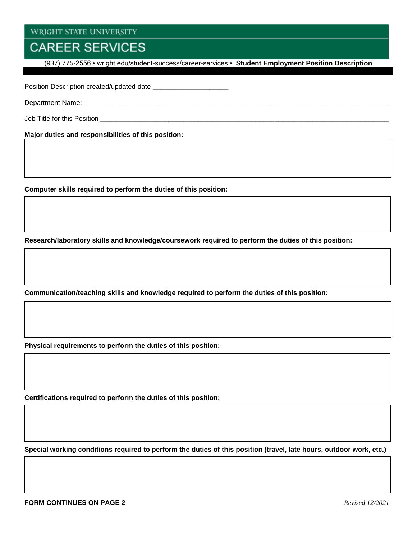## **CAREER SERVICES**

(937) 775-2556 • wright.edu/student-success/career-services • **Student Employment Position Description**

Position Description created/updated date \_\_\_\_\_\_\_\_\_\_\_\_\_\_\_\_\_\_\_\_

Department Name:\_\_\_\_\_\_\_\_\_\_\_\_\_\_\_\_\_\_\_\_\_\_\_\_\_\_\_\_\_\_\_\_\_\_\_\_\_\_\_\_\_\_\_\_\_\_\_\_\_\_\_\_\_\_\_\_\_\_\_\_\_\_\_\_\_\_\_\_\_\_\_\_\_\_\_\_\_\_\_\_\_

Job Title for this Position **of the set of the set of the set of the set of the set of the set of the set of the set of the set of the set of the set of the set of the set of the set of the set of the set of the set of the** 

**Major duties and responsibilities of this position:**

**Computer skills required to perform the duties of this position:**

**Research/laboratory skills and knowledge/coursework required to perform the duties of this position:**

**Communication/teaching skills and knowledge required to perform the duties of this position:**

**Physical requirements to perform the duties of this position:**

**Certifications required to perform the duties of this position:**

**Special working conditions required to perform the duties of this position (travel, late hours, outdoor work, etc.)**